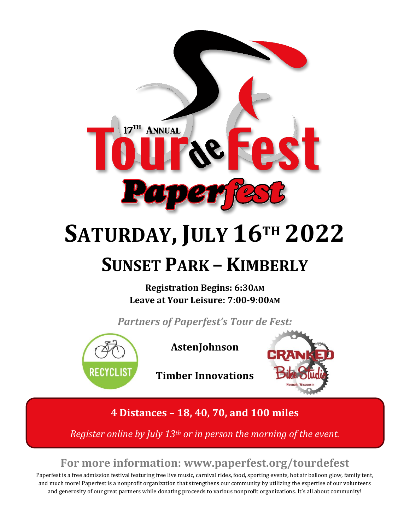

# **SATURDAY, JULY 16TH 2022 SUNSET PARK – KIMBERLY**

**Registration Begins: 6:30AM Leave at Your Leisure: 7:00-9:00AM**

*Partners of Paperfest's Tour de Fest:*



**AstenJohnson**



**Timber Innovations** 

**4 Distances – 18, 40, 70, and 100 miles** 

*Register online by July 13th or in person the morning of the event.*

## **For more information: www.paperfest.org/tourdefest**

Paperfest is a free admission festival featuring free live music, carnival rides, food, sporting events, hot air balloon glow, family tent, and much more! Paperfest is a nonprofit organization that strengthens our community by utilizing the expertise of our volunteers and generosity of our great partners while donating proceeds to various nonprofit organizations. It's all about community!